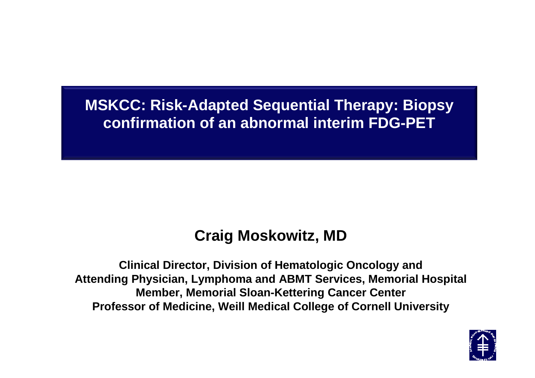#### **MSKCC: Risk-Adapted Sequential Therapy: Biopsy confirmation of an abnormal interim FDG-PET**

#### **Craig Moskowitz, MD**

**Clinical Director, Division of Hematologic Oncology and Attending Physician, Lymphoma and ABMT Services, Memorial Hospital Member, Memorial Sloan-Kettering Cancer CenterProfessor of Medicine, Weill Medical College of Cornell University**

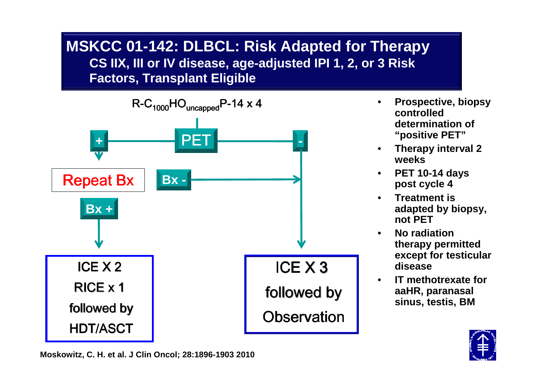#### **MSKCC 01-142: DLBCL: Risk Adapted for TherapyCS IIX, III or IV disease, age-adjusted IPI 1, 2, or 3 Risk Factors, Transplant Eligible**



- • **Prospective, biopsy controlled determination of "positive PET"**
- **Therapy interval 2 weeks**
- **PET 10-14 days**  •**post cycle 4**
- **Treatment is**  •**adapted by biopsy, not PET**
- **No radiation**  •**therapy permitted except for testicular disease**
- **IT methotrexate for**  •**aaHR, paranasal sinus, testis, BM**



**Moskowitz, C. H. et al. J Clin Oncol; 28:1896-1903 2010**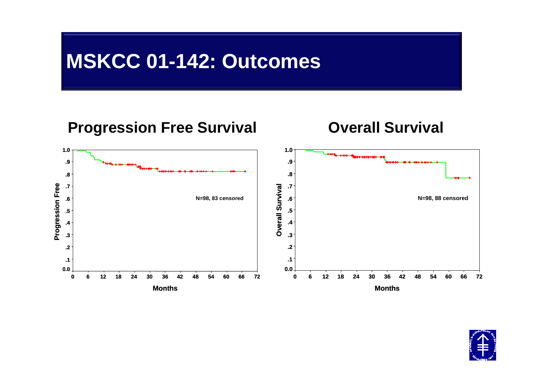#### **MSKCC 01-142: Outcomes**



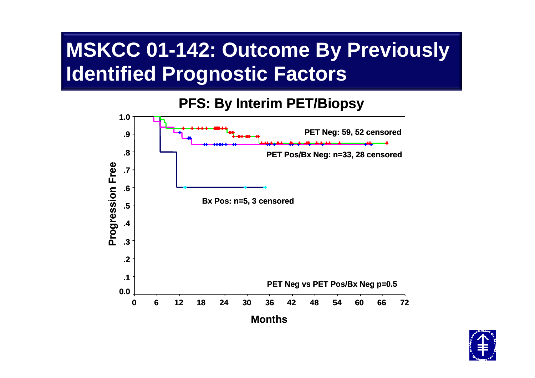# **MSKCC 01-142: Outcome By Previously Identified Prognostic Factors**

#### **PFS: By Interim PET/Biopsy**



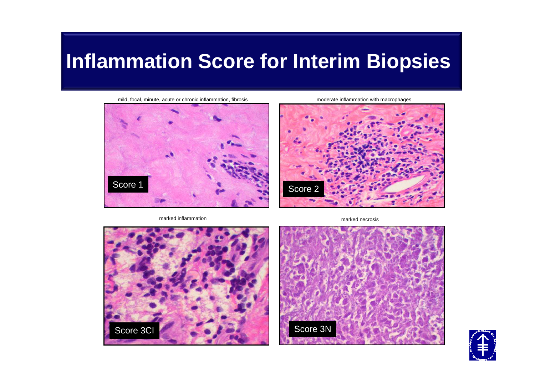### **Inflammation Score for Interim Biopsies**

mild, focal, minute, acute or chronic inflammation, fibrosis moderate inflammation with macrophages



marked inflammation



marked necrosis





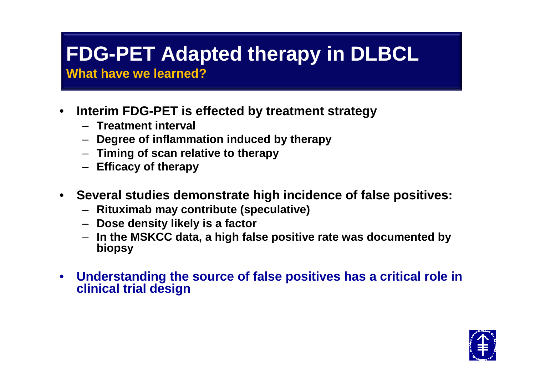# **FDG-PET Adapted therapy in DLBCL**

**What have we learned?**

- $\bullet$  **Interim FDG-PET is effected by treatment strategy**
	- **Treatment interval**
	- **Degree of inflammation induced by therapy**
	- **Timing of scan relative to therapy**
	- **Efficacy of therapy**
- $\bullet$  **Several studies demonstrate high incidence of false positives:** 
	- **Rituximab may contribute (speculative)**
	- **Dose density likely is a factor**
	- **In the MSKCC data, a high false positive rate was documented by biopsy**
- $\bullet$  **Understanding the source of false positives has a critical role in clinical trial design**

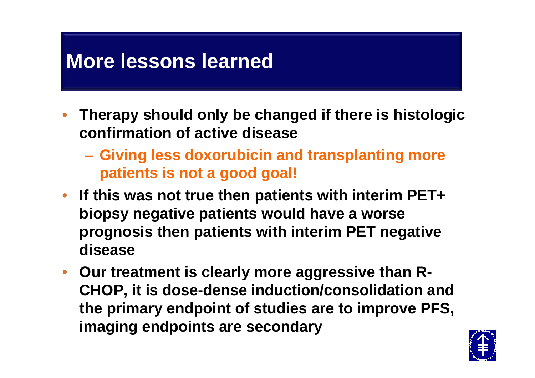### **More lessons learned**

- • **Therapy should only be changed if there is histologic confirmation of active disease**
	- **Giving less doxorubicin and transplanting more patients is not a good goal!**
- **If this was not true then patients with interim PET+ biopsy negative patients would have a worse prognosis then patients with interim PET negative disease**
- **Our treatment is clearly more aggressive than R-CHOP, it is dose-dense induction/consolidation and the primary endpoint of studies are to improve PFS,imaging endpoints are secondary**

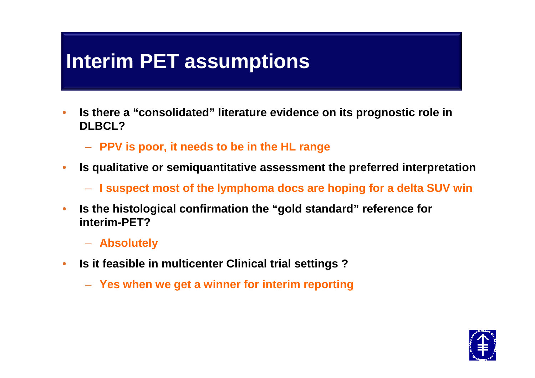#### **Interim PET assumptions**

- • **Is there a "consolidated" literature evidence on its prognostic role in DLBCL?**
	- **PPV is poor, it needs to be in the HL range**
- • **Is qualitative or semiquantitative assessment the preferred interpretation** 
	- **I suspect most of the lymphoma docs are hoping for a delta SUV win**
- • **Is the histological confirmation the "gold standard" reference for interim-PET?**
	- **Absolutely**
- • **Is it feasible in multicenter Clinical trial settings ?** 
	- **Yes when we get a winner for interim reporting**

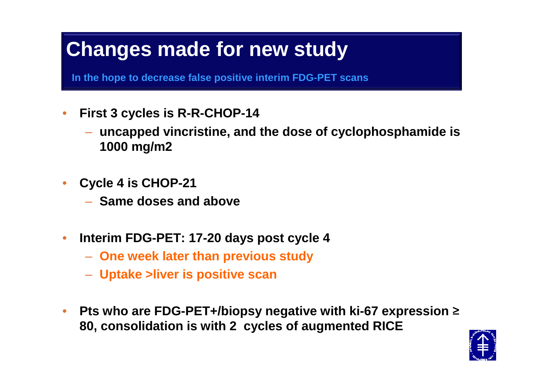# **Changes made for new study**

**In the hope to decrease false positive interim FDG-PET scans**

- • **First 3 cycles is R-R-CHOP-14** 
	- **uncapped vincristine, and the dose of cyclophosphamide is 1000 mg/m2**
- • **Cycle 4 is CHOP-21**
	- $-$  Same doses and above
- $\bullet$  **Interim FDG-PET: 17-20 days post cycle 4** 
	- **One week later than previous study**
	- **Uptake >liver is positive scan**
- • **Pts who are FDG-PET+/biopsy negative with ki-67 expression** <sup>≥</sup>**80, consolidation is with 2 cycles of augmented RICE**

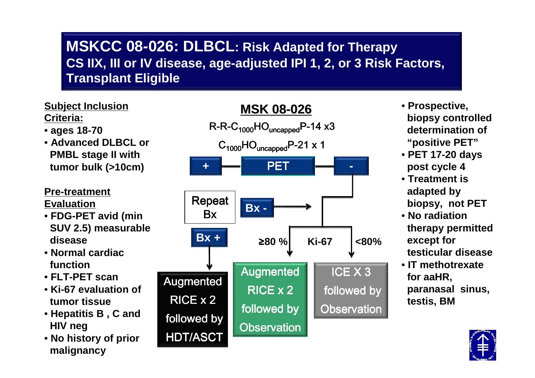#### **MSKCC 08-026: DLBCL: Risk Adapted for Therapy CS IIX, III or IV disease, age-adjusted IPI 1, 2, or 3 Risk Factors, Transplant Eligible**

#### **Subject Inclusion Criteria:**

- **ages 18-70**
- **Advanced DLBCL or PMBL stage II with tumor bulk (>10cm)**

#### **Pre-treatment**

**Evaluation**

- **FDG-PET avid (min SUV 2.5) measurable disease**
- **Normal cardiacfunction**
- **FLT-PET scan**
- **Ki-67 evaluation of tumor tissue**
- **Hepatitis B , C and HIV neg**
- **No history of prior malignancy**



- **Prospective, biopsy controlled determination of "positive PET"**
- **PET 17-20 days post cycle 4**
- **Treatment is adapted by biopsy, not PET**
- **No radiation therapy permitted except for testicular disease**
- **IT methotrexate for aaHR,**
- **paranasal sinus, testis, BM**

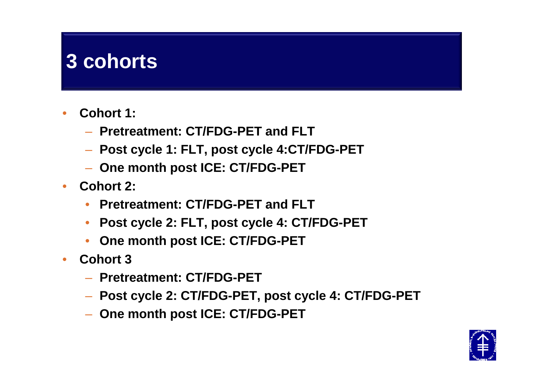### **3 cohorts**

- • **Cohort 1:** 
	- **Pretreatment: CT/FDG-PET and FLT**
	- **Post cycle 1: FLT, post cycle 4:CT/FDG-PET**
	- **One month post ICE: CT/FDG-PET**
- **Cohort 2:** 
	- •**Pretreatment: CT/FDG-PET and FLT**
	- **Post cycle 2: FLT, post cycle 4: CT/FDG-PET**•
	- •**One month post ICE: CT/FDG-PET**
- • **Cohort 3** 
	- **Pretreatment: CT/FDG-PET**
	- **Post cycle 2: CT/FDG-PET, post cycle 4: CT/FDG-PET**
	- **One month post ICE: CT/FDG-PET**

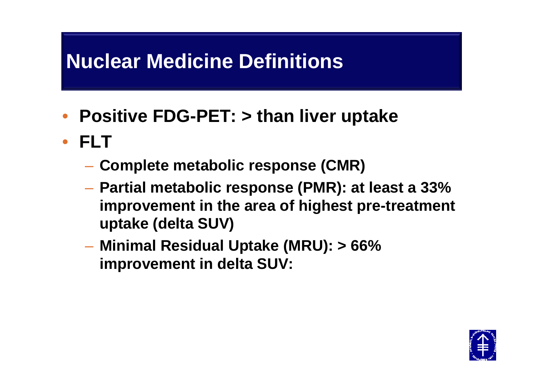# **Nuclear Medicine Definitions**

- **Positive FDG-PET: > than liver uptake**
- **FLT**
	- **Complete metabolic response (CMR)**
	- **Partial metabolic response (PMR): at least a 33% improvement in the area of highest pre-treatment uptake (delta SUV)**
	- – **Minimal Residual Uptake (MRU): > 66% improvement in delta SUV:**

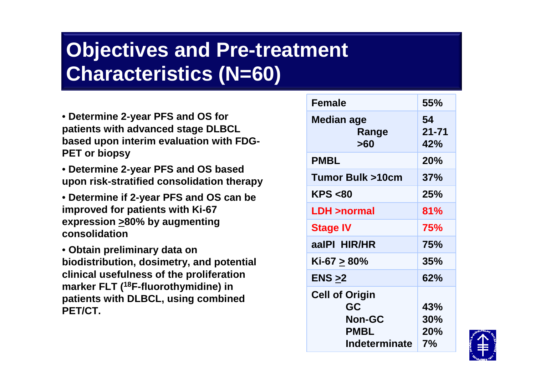# **Objectives and Pre-treatment Characteristics (N=60)**

- **Determine 2-year PFS and OS for patients with advanced stage DLBCL based upon interim evaluation with FDG-PET or biopsy**
- **Determine 2-year PFS and OS based upon risk-stratified consolidation therapy**
- **Determine if 2-year PFS and OS can be improved for patients with Ki-67 expression >80% by augmenting consolidation**

• **Obtain preliminary data on biodistribution, dosimetry, and potential clinical usefulness of the proliferation marker FLT (18F-fluorothymidine) in patients with DLBCL, using combined PET/CT.**

| <b>Female</b>                                                                | 55%                     |
|------------------------------------------------------------------------------|-------------------------|
| Median age<br>Range<br>>60                                                   | 54<br>$21 - 71$<br>42%  |
| <b>PMBL</b>                                                                  | 20%                     |
| <b>Tumor Bulk &gt;10cm</b>                                                   | 37%                     |
| <b>KPS &lt;80</b>                                                            | 25%                     |
| <b>LDH &gt;normal</b>                                                        | 81%                     |
| <b>Stage IV</b>                                                              | <b>75%</b>              |
| aalPI HIR/HR                                                                 | 75%                     |
| Ki-67 > 80%                                                                  | 35%                     |
| ENS >2                                                                       | 62%                     |
| <b>Cell of Origin</b><br>GC<br><b>Non-GC</b><br><b>PMBL</b><br>Indeterminate | 43%<br>30%<br>20%<br>7% |

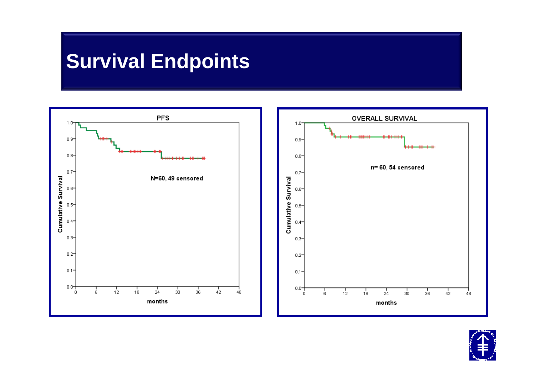# **Survival Endpoints**



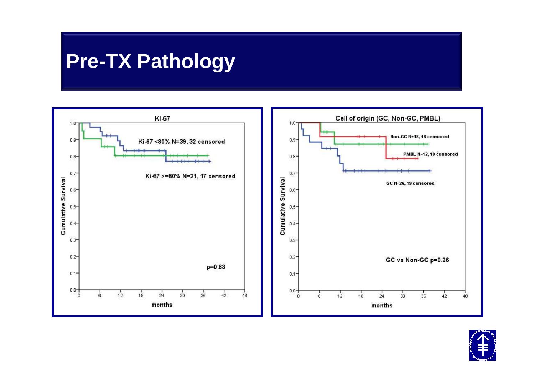### **Pre-TX Pathology**



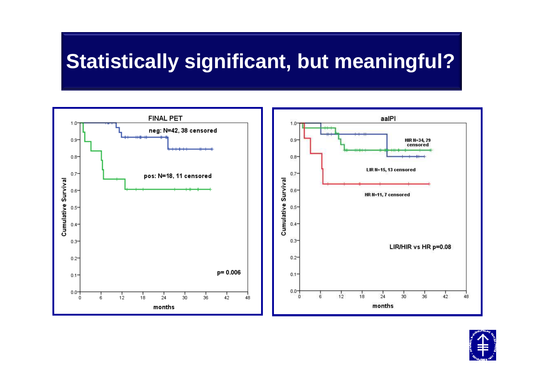# **Statistically significant, but meaningful?**



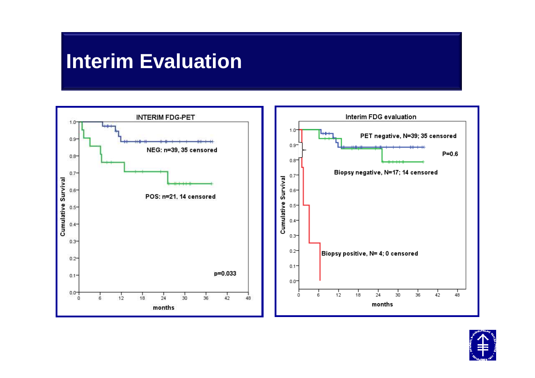#### **Interim Evaluation**



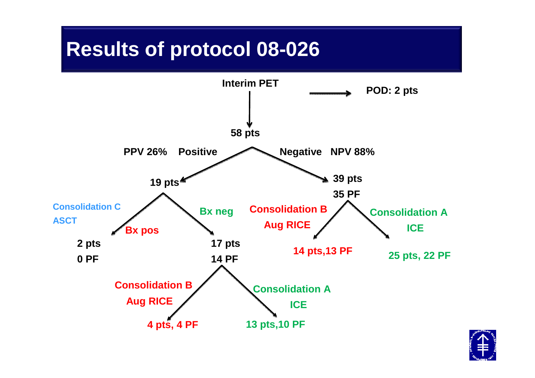### **Induction TherapyResults of protocol 08-026**



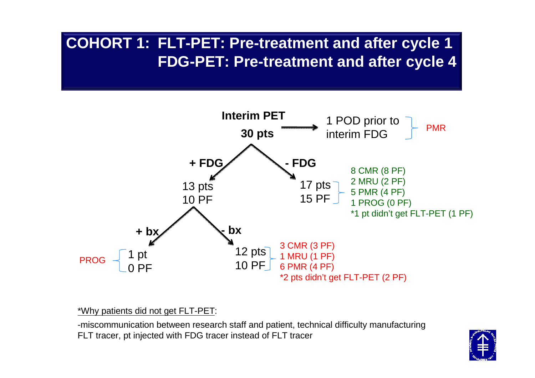#### **COHORT 1: FLT-PET: Pre-treatment and after cycle 1FDG-PET: Pre-treatment and after cycle 4**



\*Why patients did not get FLT-PET:

-miscommunication between research staff and patient, technical difficulty manufacturing FLT tracer, pt injected with FDG tracer instead of FLT tracer

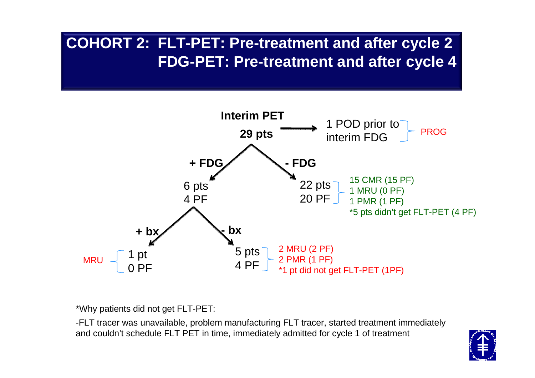#### **COHORT 2: FLT-PET: Pre-treatment and after cycle 2FDG-PET: Pre-treatment and after cycle 4**



\*Why patients did not get FLT-PET:

-FLT tracer was unavailable, problem manufacturing FLT tracer, started treatment immediately and couldn't schedule FLT PET in time, immediately admitted for cycle 1 of treatment

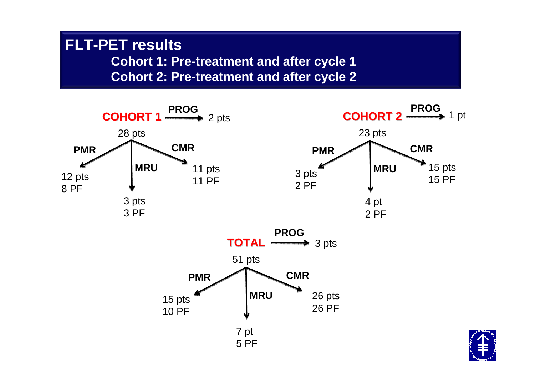#### **FLT-PET results Cohort 1: Pre-treatment and after cycle 1Cohort 2: Pre-treatment and after cycle 2**

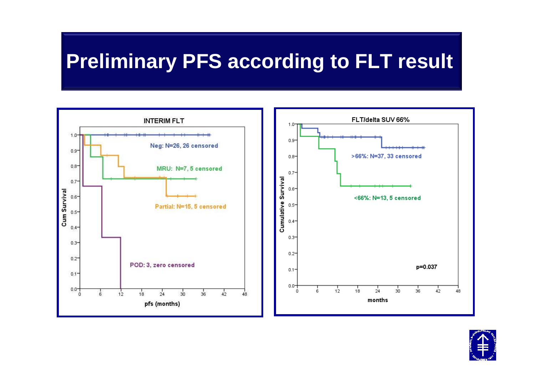### **Preliminary PFS according to FLT result**



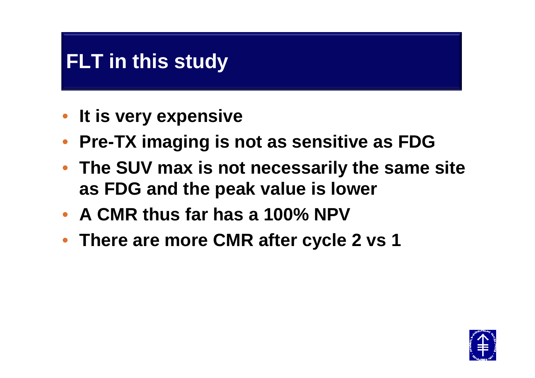### **FLT in this study**

- **It is very expensive**
- **Pre-TX imaging is not as sensitive as FDG**
- **The SUV max is not necessarily the same site as FDG and the peak value is lower**
- **A CMR thus far has a 100% NPV**
- **There are more CMR after cycle 2 vs 1**

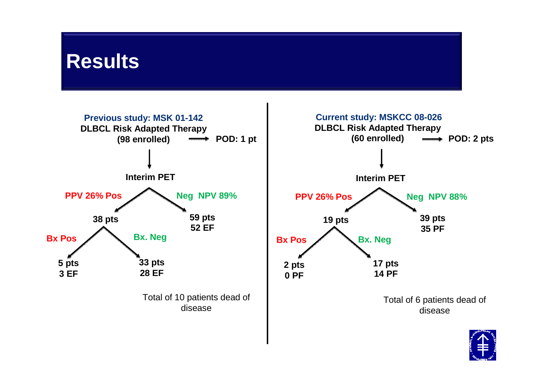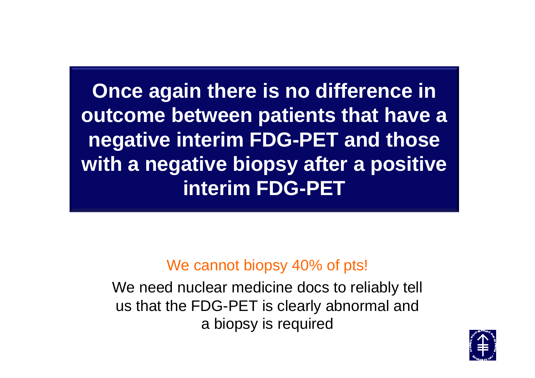**Once again there is no difference in outcome between patients that have a negative interim FDG-PET and those with a negative biopsy after a positive interim FDG-PET**

#### We cannot biopsy 40% of pts!

We need nuclear medicine docs to reliably tell us that the FDG-PET is clearly abnormal and a biopsy is required